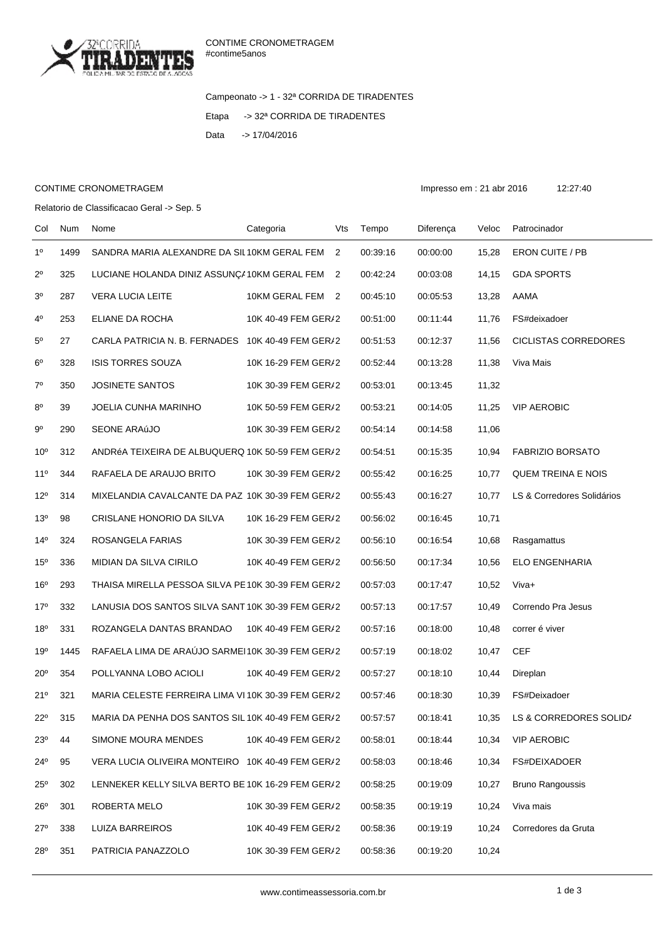

Campeonato -> 1 - 32ª CORRIDA DE TIRADENTES Etapa -> 32ª CORRIDA DE TIRADENTES Data -> 17/04/2016

## CONTIME CRONOMETRAGEM **Impresso em : 21 abr 2016** 12:27:40

Relatorio de Classificacao Geral -> Sep. 5

Col Num Nome Categoria Vts Tempo Diferença Veloc Patrocinador 1º 1499 SANDRA MARIA ALEXANDRE DA SIL10KM GERAL FEM 2 00:39:16 00:00:00 15,28 ERON CUITE / PB 2º 325 LUCIANE HOLANDA DINIZ ASSUNÇ 410KM GERAL FEM 2 00:42:24 00:03:08 14,15 GDA SPORTS 3º 287 VERA LUCIA LEITE 10KM GERAL FEM 2 00:45:10 00:05:53 13,28 AAMA 4º 253 ELIANE DA ROCHA 10K 40-49 FEM GERAL2 00:51:00 00:11:44 11,76 FS#deixadoer 5º 27 CARLA PATRICIA N. B. FERNADES 10K 40-49 FEM GER/2 00:51:53 00:12:37 11,56 CICLISTAS CORREDORES 6º 328 ISIS TORRES SOUZA 10K 16-29 FEM GERAL2 00:52:44 00:13:28 11,38 Viva Mais 7º 350 JOSINETE SANTOS 10K 30-39 FEM GERAL2 00:53:01 00:13:45 11,32 8º 39 JOELIA CUNHA MARINHO 10K 50-59 FEM GER/2 00:53:21 00:14:05 11,25 VIP AEROBIC 9º 290 SEONE ARAúJO 10K 30-39 FEM GERAL2 00:54:14 00:14:58 11,06 10º 312 ANDRéA TEIXEIRA DE ALBUQUERQ 10K 50-59 FEM GER/2 00:54:51 00:15:35 10,94 FABRIZIO BORSATO 11º 344 RAFAELA DE ARAUJO BRITO 10K 30-39 FEM GERAL2 00:55:42 00:16:25 10,77 QUEM TREINA E NOIS 12º 314 MIXELANDIA CAVALCANTE DA PAZ 10K 30-39 FEM GER/2 00:55:43 00:16:27 10,77 LS & Corredores Solidários 13º 98 CRISLANE HONORIO DA SILVA 10K 16-29 FEM GERAL2 00:56:02 00:16:45 10,71 14º 324 ROSANGELA FARIAS 10K 30-39 FEM GER/2 00:56:10 00:16:54 10,68 Rasgamattus 15º 336 MIDIAN DA SILVA CIRILO 10K 40-49 FEM GER/2 00:56:50 00:17:34 10.56 ELO ENGENHARIA 16º 293 THAISA MIRELLA PESSOA SILVA PE10K 30-39 FEM GER/2 00:57:03 00:17:47 10.52 Viva+ 17º 332 LANUSIA DOS SANTOS SILVA SANT 10K 30-39 FEM GER/2 00:57:13 00:17:57 10.49 Correndo Pra Jesus 18º 331 ROZANGELA DANTAS BRANDAO 10K 40-49 FEM GER/2 00:57:16 00:18:00 10.48 correr é viver 19º 1445 RAFAELA LIMA DE ARAÚJO SARMEI 10K 30-39 FEM GER/2 00:57:19 00:18:02 10.47 CEF 20<sup>°</sup> 354 POLLYANNA LOBO ACIOLI 10K 40-49 FEM GER/2 00:57:27 00:18:10 10.44 Direplan 21º 321 MARIA CELESTE FERREIRA LIMA VI 10K 30-39 FEM GER/2 00:57:46 00:18:30 10,39 FS#Deixadoer 22º 315 MARIA DA PENHA DOS SANTOS SIL 10K 40-49 FEM GER/2 00:57:57 00:18:41 10,35 LS & CORREDORES SOLIDA 23º 44 SIMONE MOURA MENDES 10K 40-49 FEM GER/2 00:58:01 00:18:44 10,34 VIP AEROBIC 24º 95 VERA LUCIA OLIVEIRA MONTEIRO 10K 40-49 FEM GER/2 00:58:03 00:18:46 10,34 FS#DEIXADOER 25º 302 LENNEKER KELLY SILVA BERTO BE 10K 16-29 FEM GER/2 00:58:25 00:19:09 10,27 Bruno Rangoussis 26º 301 ROBERTA MELO 10K 30-39 FEM GER/2 00:58:35 00:19:19 10.24 Viva mais 27º 338 LUIZA BARREIROS 10K 40-49 FEM GER/2 00:58:36 00:19:19 10,24 Corredores da Gruta 28º 351 PATRICIA PANAZZOLO 10K 30-39 FEM GER/2 00:58:36 00:19:20 10,24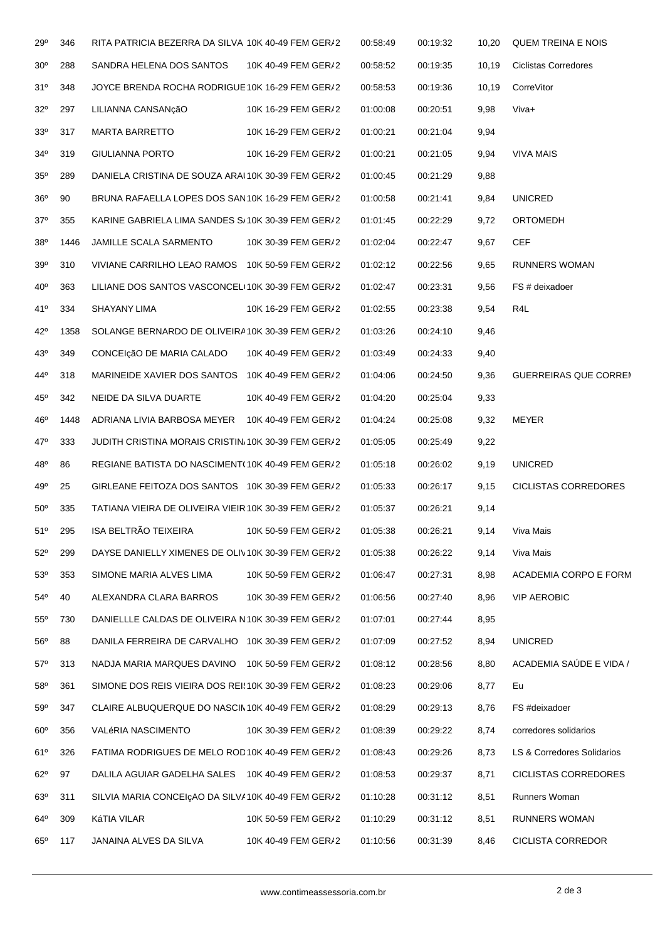| 29°             | 346  | RITA PATRICIA BEZERRA DA SILVA 10K 40-49 FEM GER/2   |                     | 00:58:49 | 00:19:32 | 10,20  | <b>QUEM TREINA E NOIS</b>    |
|-----------------|------|------------------------------------------------------|---------------------|----------|----------|--------|------------------------------|
| 30 <sup>o</sup> | 288  | SANDRA HELENA DOS SANTOS                             | 10K 40-49 FEM GER/2 | 00:58:52 | 00:19:35 | 10,19  | <b>Ciclistas Corredores</b>  |
| 31°             | 348  | JOYCE BRENDA ROCHA RODRIGUE 10K 16-29 FEM GER/2      |                     | 00:58:53 | 00:19:36 | 10, 19 | CorreVitor                   |
| $32^{\circ}$    | 297  | LILIANNA CANSANcãO                                   | 10K 16-29 FEM GER/2 | 01:00:08 | 00:20:51 | 9,98   | Viva+                        |
| 33 <sup>o</sup> | 317  | <b>MARTA BARRETTO</b>                                | 10K 16-29 FEM GER/2 | 01:00:21 | 00:21:04 | 9,94   |                              |
| $34^{\circ}$    | 319  | <b>GIULIANNA PORTO</b>                               | 10K 16-29 FEM GER/2 | 01:00:21 | 00:21:05 | 9,94   | <b>VIVA MAIS</b>             |
| $35^{\circ}$    | 289  | DANIELA CRISTINA DE SOUZA ARAI 10K 30-39 FEM GER/2   |                     | 01:00:45 | 00:21:29 | 9,88   |                              |
| 36 <sup>o</sup> | 90   | BRUNA RAFAELLA LOPES DOS SAN10K 16-29 FEM GER/2      |                     | 01:00:58 | 00:21:41 | 9,84   | <b>UNICRED</b>               |
| $37^\circ$      | 355  | KARINE GABRIELA LIMA SANDES S/10K 30-39 FEM GER/2    |                     | 01:01:45 | 00:22:29 | 9,72   | ORTOMEDH                     |
| $38^{\circ}$    | 1446 | JAMILLE SCALA SARMENTO                               | 10K 30-39 FEM GER/2 | 01:02:04 | 00:22:47 | 9,67   | <b>CEF</b>                   |
| 39 <sup>o</sup> | 310  | VIVIANE CARRILHO LEAO RAMOS 10K 50-59 FEM GER/2      |                     | 01:02:12 | 00:22:56 | 9,65   | <b>RUNNERS WOMAN</b>         |
| $40^{\circ}$    | 363  | LILIANE DOS SANTOS VASCONCEL(10K 30-39 FEM GER/2     |                     | 01:02:47 | 00:23:31 | 9,56   | FS # deixadoer               |
| 41°             | 334  | <b>SHAYANY LIMA</b>                                  | 10K 16-29 FEM GER/2 | 01:02:55 | 00:23:38 | 9,54   | R4L                          |
| 42°             | 1358 | SOLANGE BERNARDO DE OLIVEIRA 10K 30-39 FEM GER/2     |                     | 01:03:26 | 00:24:10 | 9,46   |                              |
| 43°             | 349  | CONCEIçãO DE MARIA CALADO                            | 10K 40-49 FEM GER/2 | 01:03:49 | 00:24:33 | 9,40   |                              |
| 44°             | 318  | MARINEIDE XAVIER DOS SANTOS 10K 40-49 FEM GER/2      |                     | 01:04:06 | 00:24:50 | 9,36   | <b>GUERREIRAS QUE CORREN</b> |
| $45^{\circ}$    | 342  | NEIDE DA SILVA DUARTE                                | 10K 40-49 FEM GER/2 | 01:04:20 | 00:25:04 | 9,33   |                              |
| $46^{\circ}$    | 1448 | ADRIANA LIVIA BARBOSA MEYER 10K 40-49 FEM GER/2      |                     | 01:04:24 | 00:25:08 | 9,32   | MEYER                        |
| 47°             | 333  | JUDITH CRISTINA MORAIS CRISTIN 10K 30-39 FEM GER/2   |                     | 01:05:05 | 00:25:49 | 9,22   |                              |
| 48°             | 86   | REGIANE BATISTA DO NASCIMENT (10K 40-49 FEM GER/2    |                     | 01:05:18 | 00:26:02 | 9,19   | <b>UNICRED</b>               |
| 49°             | 25   | GIRLEANE FEITOZA DOS SANTOS 10K 30-39 FEM GER/2      |                     | 01:05:33 | 00:26:17 | 9,15   | <b>CICLISTAS CORREDORES</b>  |
| $50^\circ$      | 335  | TATIANA VIEIRA DE OLIVEIRA VIEIR 10K 30-39 FEM GER/2 |                     | 01:05:37 | 00:26:21 | 9,14   |                              |
| 51°             | 295  | ISA BELTRÃO TEIXEIRA                                 | 10K 50-59 FEM GER/2 | 01:05:38 | 00:26:21 | 9,14   | Viva Mais                    |
| $52^{\circ}$    | 299  | DAYSE DANIELLY XIMENES DE OLIV10K 30-39 FEM GER/2    |                     | 01:05:38 | 00:26:22 | 9,14   | Viva Mais                    |
| 53 <sup>o</sup> | 353  | SIMONE MARIA ALVES LIMA                              | 10K 50-59 FEM GER/2 | 01:06:47 | 00:27:31 | 8,98   | ACADEMIA CORPO E FORM        |
| $54^{\circ}$    | 40   | ALEXANDRA CLARA BARROS                               | 10K 30-39 FEM GER/2 | 01:06:56 | 00:27:40 | 8,96   | <b>VIP AEROBIC</b>           |
| $55^\circ$      | 730  | DANIELLLE CALDAS DE OLIVEIRA N10K 30-39 FEM GER/2    |                     | 01:07:01 | 00:27:44 | 8,95   |                              |
| $56^{\circ}$    | 88   | DANILA FERREIRA DE CARVALHO 10K 30-39 FEM GER/2      |                     | 01:07:09 | 00:27:52 | 8,94   | <b>UNICRED</b>               |
| $57^\circ$      | 313  | NADJA MARIA MARQUES DAVINO 10K 50-59 FEM GER/2       |                     | 01:08:12 | 00:28:56 | 8,80   | ACADEMIA SAÚDE E VIDA /      |
| $58^{\circ}$    | 361  | SIMONE DOS REIS VIEIRA DOS REI:10K 30-39 FEM GER/2   |                     | 01:08:23 | 00:29:06 | 8,77   | Eu                           |
| $59^\circ$      | 347  | CLAIRE ALBUQUERQUE DO NASCIM 10K 40-49 FEM GER/2     |                     | 01:08:29 | 00:29:13 | 8,76   | FS #deixadoer                |
| $60^\circ$      | 356  | VALéRIA NASCIMENTO                                   | 10K 30-39 FEM GER/2 | 01:08:39 | 00:29:22 | 8,74   | corredores solidarios        |
| 61°             | 326  | FATIMA RODRIGUES DE MELO ROD10K 40-49 FEM GER/2      |                     | 01:08:43 | 00:29:26 | 8,73   | LS & Corredores Solidarios   |
| 62°             | 97   | DALILA AGUIAR GADELHA SALES 10K 40-49 FEM GER/2      |                     | 01:08:53 | 00:29:37 | 8,71   | CICLISTAS CORREDORES         |
| $63^\circ$      | 311  | SILVIA MARIA CONCEIÇÃO DA SILV#10K 40-49 FEM GER/2   |                     | 01:10:28 | 00:31:12 | 8,51   | Runners Woman                |
| $64^{\circ}$    | 309  | KáTIA VILAR                                          | 10K 50-59 FEM GER/2 | 01:10:29 | 00:31:12 | 8,51   | <b>RUNNERS WOMAN</b>         |
| $65^\circ$      | 117  | JANAINA ALVES DA SILVA                               | 10K 40-49 FEM GER/2 | 01:10:56 | 00:31:39 | 8,46   | <b>CICLISTA CORREDOR</b>     |